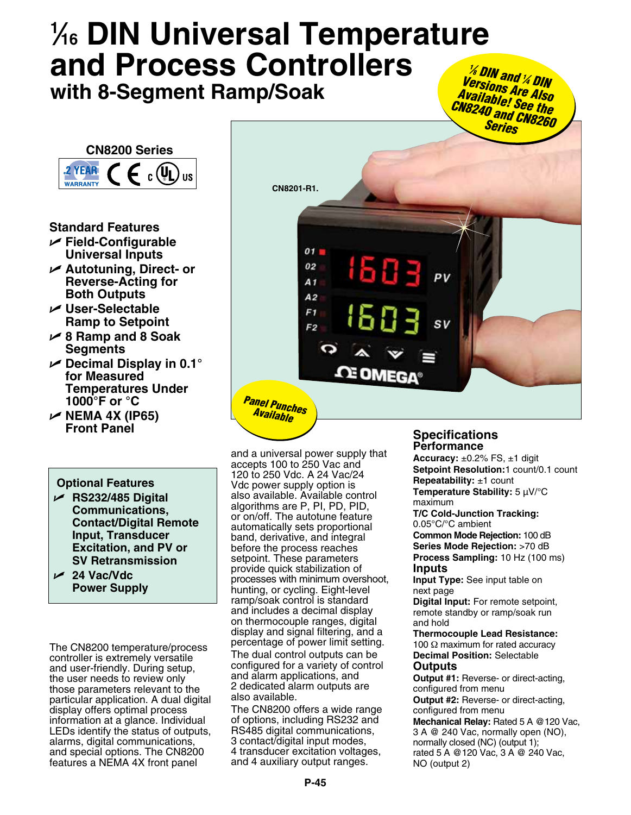# **1 ⁄16 DIN Universal Temperature and Process Controllers with 8-Segment Ramp/Soak**



# **Standard Features**

- U **Field-Configurable Universal Inputs**
- U **Autotuning, Direct- or Reverse-Acting for Both Outputs**
- U **User-Selectable Ramp to Setpoint**
- U **8 Ramp and 8 Soak Segments**
- U **Decimal Display in 0.1° for Measured Temperatures Under 1000°F or °C**
- U **NEMA 4X (IP65) Front Panel**

# **Optional Features**

- U **RS232/485 Digital Communications, Contact/Digital Remote Input, Transducer Excitation, and PV or SV Retransmission**
- U **24 Vac/Vdc Power Supply**

The CN8200 temperature/process controller is extremely versatile and user-friendly. During setup, the user needs to review only those parameters relevant to the particular application. A dual digital display offers optimal process information at a glance. Individual LEDs identify the status of outputs, alarms, digital communications, and special options. The CN8200 features a NEMA 4X front panel



and a universal power supply that accepts 100 to 250 Vac and 120 to 250 Vdc. A 24 Vac/24 Vdc power supply option is also available. Available control algorithms are P, PI, PD, PID, or on/off. The autotune feature automatically sets proportional band, derivative, and integral before the process reaches setpoint. These parameters provide quick stabilization of processes with minimum overshoot, hunting, or cycling. Eight-level ramp/soak control is standard and includes a decimal display on thermocouple ranges, digital display and signal filtering, and a percentage of power limit setting.

The dual control outputs can be configured for a variety of control and alarm applications, and 2 dedicated alarm outputs are also available.

The CN8200 offers a wide range of options, including RS232 and RS485 digital communications, 3 contact/digital input modes, 4 transducer excitation voltages, and 4 auxiliary output ranges.

# **Specifications Performance**

**Accuracy:** ±0.2% FS, ±1 digit **Setpoint Resolution:**1 count/0.1 count **Repeatability:** ±1 count **Temperature Stability:** 5 µV/°C maximum **T/C Cold-Junction Tracking:**  0.05°C/°C ambient **Common Mode Rejection:** 100 dB **Series Mode Rejection:** >70 dB **Process Sampling:** 10 Hz (100 ms) **Inputs Input Type:** See input table on next page

**Digital Input:** For remote setpoint, remote standby or ramp/soak run and hold

**Thermocouple Lead Resistance:** 100 Ω maximum for rated accuracy **Decimal Position:** Selectable **Outputs**

**Output #1:** Reverse- or direct-acting, configured from menu

**Output #2:** Reverse- or direct-acting, configured from menu

**Mechanical Relay:** Rated 5 A @120 Vac, 3 A @ 240 Vac, normally open (NO), normally closed (NC) (output 1); rated 5 A @120 Vac, 3 A @ 240 Vac, NO (output 2)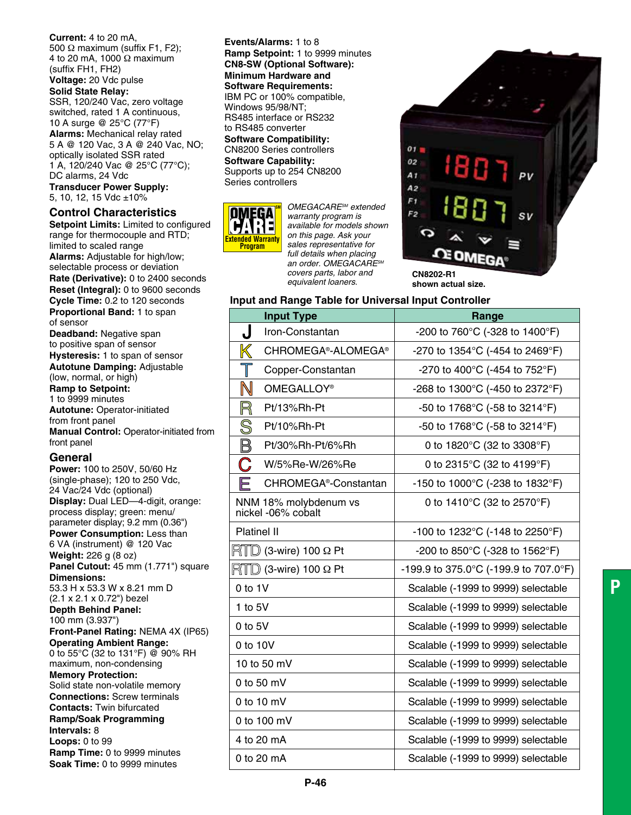**Current:** 4 to 20 mA, 500 Ω maximum (suffix F1, F2); 4 to 20 mA, 1000 Ω maximum (suffix FH1, FH2) **Voltage:** 20 Vdc pulse

#### **Solid State Relay:**

SSR, 120/240 Vac, zero voltage switched, rated 1 A continuous, 10 A surge @ 25°C (77°F) **Alarms:** Mechanical relay rated 5 A @ 120 Vac, 3 A @ 240 Vac, NO; optically isolated SSR rated 1 A, 120/240 Vac @ 25°C (77°C); DC alarms, 24 Vdc **Transducer Power Supply:** 5, 10, 12, 15 Vdc ±10%

## **Control Characteristics**

**Setpoint Limits:** Limited to configured range for thermocouple and RTD; limited to scaled range **Alarms:** Adjustable for high/low; selectable process or deviation **Rate (Derivative):** 0 to 2400 seconds **Reset (Integral):** 0 to 9600 seconds **Cycle Time:** 0.2 to 120 seconds **Proportional Band:** 1 to span of sensor **Deadband:** Negative span to positive span of sensor **Hysteresis:** 1 to span of sensor **Autotune Damping:** Adjustable (low, normal, or high) **Ramp to Setpoint:** 1 to 9999 minutes **Autotune:** Operator-initiated from front panel **Manual Control:** Operator-initiated from front panel **General**

**Power:** 100 to 250V, 50/60 Hz (single-phase); 120 to 250 Vdc, 24 Vac/24 Vdc (optional) **Display:** Dual LED—4-digit, orange: process display; green: menu/ parameter display; 9.2 mm (0.36") **Power Consumption:** Less than 6 VA (instrument) @ 120 Vac **Weight:** 226 g (8 oz) Panel Cutout: 45 mm (1.771") square **Dimensions:**  53.3 H x 53.3 W x 8.21 mm D (2.1 x 2.1 x 0.72") bezel **Depth Behind Panel:** 100 mm (3.937") **Front-Panel Rating:** NEMA 4X (IP65) **Operating Ambient Range:** 0 to 55°C (32 to 131°F) @ 90% RH maximum, non-condensing **Memory Protection:** Solid state non-volatile memory **Connections:** Screw terminals **Contacts:** Twin bifurcated **Ramp/Soak Programming Intervals:** 8 **Loops:** 0 to 99 **Ramp Time:** 0 to 9999 minutes

**Soak Time:** 0 to 9999 minutes

**Events/Alarms:** 1 to 8 **Ramp Setpoint:** 1 to 9999 minutes **CN8-SW (Optional Software): Minimum Hardware and Software Requirements:** IBM PC or 100% compatible, Windows 95/98/NT; RS485 interface or RS232 to RS485 converter

**Software Compatibility:** CN8200 Series controllers **Software Capability:** Supports up to 254 CN8200 Series controllers



**SM** *OMEGACARESM extended warranty program is available for models shown on this page. Ask your sales representative for full details when placing an order. OMEGACARESM covers parts, labor and equivalent loaners.*



**shown actual size.**

#### **Input and Range Table for Universal Input Controller**

| <b>Input Type</b>                                    | Range                                                |
|------------------------------------------------------|------------------------------------------------------|
| J<br>Iron-Constantan                                 | -200 to 760 $^{\circ}$ C (-328 to 1400 $^{\circ}$ F) |
| CHROMEGA®-ALOMEGA®                                   | -270 to 1354°C (-454 to 2469°F)                      |
| T<br>Copper-Constantan                               | -270 to 400 $^{\circ}$ C (-454 to 752 $^{\circ}$ F)  |
| $\mathbb N$<br>OMEGALLOY <sup>®</sup>                | -268 to 1300°C (-450 to 2372°F)                      |
| R<br>Pt/13%Rh-Pt                                     | -50 to 1768°C (-58 to 3214°F)                        |
| S<br>Pt/10%Rh-Pt                                     | -50 to 1768°C (-58 to 3214°F)                        |
| $\mathbb B$<br>Pt/30%Rh-Pt/6%Rh                      | 0 to 1820°C (32 to 3308°F)                           |
| C<br>W/5%Re-W/26%Re                                  | 0 to 2315°C (32 to 4199°F)                           |
| F<br>CHROMEGA <sup>®</sup> -Constantan               | -150 to 1000°C (-238 to 1832°F)                      |
| NNM 18% molybdenum vs<br>nickel -06% cobalt          | 0 to 1410°C (32 to 2570°F)                           |
| Platinel II                                          | -100 to 1232°C (-148 to 2250°F)                      |
| $\mathbb{R}$ T $\mathbb{D}$ (3-wire) 100 $\Omega$ Pt | -200 to 850 $^{\circ}$ C (-328 to 1562 $^{\circ}$ F) |
| $\mathbb{R}$ TD (3-wire) 100 $\Omega$ Pt             | -199.9 to 375.0°C (-199.9 to 707.0°F)                |
| 0 to 1V                                              | Scalable (-1999 to 9999) selectable                  |
| 1 to $5V$                                            | Scalable (-1999 to 9999) selectable                  |
| $0$ to $5V$                                          | Scalable (-1999 to 9999) selectable                  |
| 0 to 10V                                             | Scalable (-1999 to 9999) selectable                  |
| 10 to 50 mV                                          | Scalable (-1999 to 9999) selectable                  |
| 0 to 50 mV                                           | Scalable (-1999 to 9999) selectable                  |
| 0 to 10 $mV$                                         | Scalable (-1999 to 9999) selectable                  |
| 0 to 100 mV                                          | Scalable (-1999 to 9999) selectable                  |
| 4 to 20 mA                                           | Scalable (-1999 to 9999) selectable                  |
| 0 to 20 mA                                           | Scalable (-1999 to 9999) selectable                  |
|                                                      |                                                      |